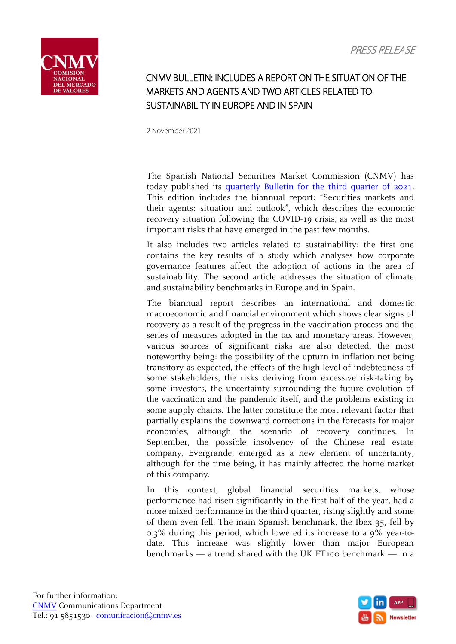

## CNMV BULLETIN: INCLUDES A REPORT ON THE SITUATION OF THE MARKETS AND AGENTS AND TWO ARTICLES RELATED TO SUSTAINABILITY IN EUROPE AND IN SPAIN

2 November 2021

The Spanish National Securities Market Commission (CNMV) has today published its [quarterly Bulletin for the third quarter of 2021.](https://www.cnmv.es/DocPortal/Publicaciones/Boletin/Boletin_III_2021.pdf) This edition includes the biannual report: "Securities markets and their agents: situation and outlook", which describes the economic recovery situation following the COVID-19 crisis, as well as the most important risks that have emerged in the past few months.

It also includes two articles related to sustainability: the first one contains the key results of a study which analyses how corporate governance features affect the adoption of actions in the area of sustainability. The second article addresses the situation of climate and sustainability benchmarks in Europe and in Spain.

The biannual report describes an international and domestic macroeconomic and financial environment which shows clear signs of recovery as a result of the progress in the vaccination process and the series of measures adopted in the tax and monetary areas. However, various sources of significant risks are also detected, the most noteworthy being: the possibility of the upturn in inflation not being transitory as expected, the effects of the high level of indebtedness of some stakeholders, the risks deriving from excessive risk-taking by some investors, the uncertainty surrounding the future evolution of the vaccination and the pandemic itself, and the problems existing in some supply chains. The latter constitute the most relevant factor that partially explains the downward corrections in the forecasts for major economies, although the scenario of recovery continues. In September, the possible insolvency of the Chinese real estate company, Evergrande, emerged as a new element of uncertainty, although for the time being, it has mainly affected the home market of this company.

In this context, global financial securities markets, whose performance had risen significantly in the first half of the year, had a more mixed performance in the third quarter, rising slightly and some of them even fell. The main Spanish benchmark, the Ibex 35, fell by 0.3% during this period, which lowered its increase to a 9% year-todate. This increase was slightly lower than major European benchmarks — a trend shared with the UK FT100 benchmark — in a

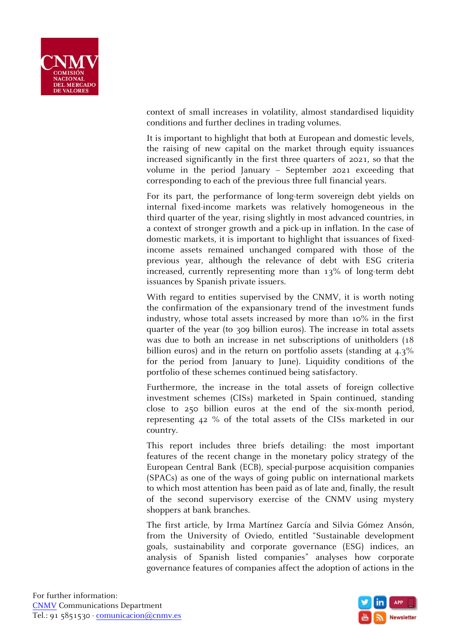

context of small increases in volatility, almost standardised liquidity conditions and further declines in trading volumes.

It is important to highlight that both at European and domestic levels, the raising of new capital on the market through equity issuances increased significantly in the first three quarters of 2021, so that the volume in the period January – September 2021 exceeding that corresponding to each of the previous three full financial years.

For its part, the performance of long-term sovereign debt yields on internal fixed-income markets was relatively homogeneous in the third quarter of the year, rising slightly in most advanced countries, in a context of stronger growth and a pick-up in inflation. In the case of domestic markets, it is important to highlight that issuances of fixedincome assets remained unchanged compared with those of the previous year, although the relevance of debt with ESG criteria increased, currently representing more than 13% of long-term debt issuances by Spanish private issuers.

With regard to entities supervised by the CNMV, it is worth noting the confirmation of the expansionary trend of the investment funds industry, whose total assets increased by more than 10% in the first quarter of the year (to 309 billion euros). The increase in total assets was due to both an increase in net subscriptions of unitholders (18 billion euros) and in the return on portfolio assets (standing at 4.3% for the period from January to June). Liquidity conditions of the portfolio of these schemes continued being satisfactory.

Furthermore, the increase in the total assets of foreign collective investment schemes (CISs) marketed in Spain continued, standing close to 250 billion euros at the end of the six-month period, representing 42 % of the total assets of the CISs marketed in our country.

This report includes three briefs detailing: the most important features of the recent change in the monetary policy strategy of the European Central Bank (ECB), special-purpose acquisition companies (SPACs) as one of the ways of going public on international markets to which most attention has been paid as of late and, finally, the result of the second supervisory exercise of the CNMV using mystery shoppers at bank branches.

The first article, by Irma Martínez García and Silvia Gómez Ansón, from the University of Oviedo, entitled "Sustainable development goals, sustainability and corporate governance (ESG) indices, an analysis of Spanish listed companies" analyses how corporate governance features of companies affect the adoption of actions in the